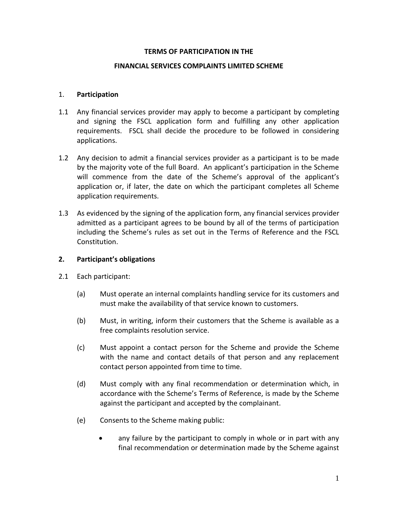#### **TERMS OF PARTICIPATION IN THE**

#### **FINANCIAL SERVICES COMPLAINTS LIMITED SCHEME**

#### 1. **Participation**

- 1.1 Any financial services provider may apply to become a participant by completing and signing the FSCL application form and fulfilling any other application requirements. FSCL shall decide the procedure to be followed in considering applications.
- 1.2 Any decision to admit a financial services provider as a participant is to be made by the majority vote of the full Board. An applicant's participation in the Scheme will commence from the date of the Scheme's approval of the applicant's application or, if later, the date on which the participant completes all Scheme application requirements.
- 1.3 As evidenced by the signing of the application form, any financial services provider admitted as a participant agrees to be bound by all of the terms of participation including the Scheme's rules as set out in the Terms of Reference and the FSCL Constitution.

#### **2. Participant's obligations**

- 2.1 Each participant:
	- (a) Must operate an internal complaints handling service for its customers and must make the availability of that service known to customers.
	- (b) Must, in writing, inform their customers that the Scheme is available as a free complaints resolution service.
	- (c) Must appoint a contact person for the Scheme and provide the Scheme with the name and contact details of that person and any replacement contact person appointed from time to time.
	- (d) Must comply with any final recommendation or determination which, in accordance with the Scheme's Terms of Reference, is made by the Scheme against the participant and accepted by the complainant.
	- (e) Consents to the Scheme making public:
		- any failure by the participant to comply in whole or in part with any final recommendation or determination made by the Scheme against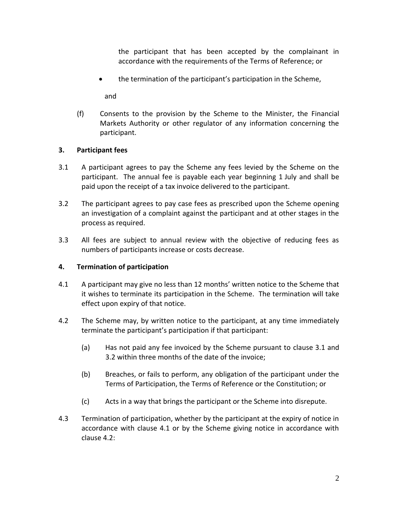the participant that has been accepted by the complainant in accordance with the requirements of the Terms of Reference; or

the termination of the participant's participation in the Scheme,

and

(f) Consents to the provision by the Scheme to the Minister, the Financial Markets Authority or other regulator of any information concerning the participant.

# **3. Participant fees**

- 3.1 A participant agrees to pay the Scheme any fees levied by the Scheme on the participant. The annual fee is payable each year beginning 1 July and shall be paid upon the receipt of a tax invoice delivered to the participant.
- 3.2 The participant agrees to pay case fees as prescribed upon the Scheme opening an investigation of a complaint against the participant and at other stages in the process as required.
- 3.3 All fees are subject to annual review with the objective of reducing fees as numbers of participants increase or costs decrease.

# **4. Termination of participation**

- 4.1 A participant may give no less than 12 months' written notice to the Scheme that it wishes to terminate its participation in the Scheme. The termination will take effect upon expiry of that notice.
- 4.2 The Scheme may, by written notice to the participant, at any time immediately terminate the participant's participation if that participant:
	- (a) Has not paid any fee invoiced by the Scheme pursuant to clause 3.1 and 3.2 within three months of the date of the invoice;
	- (b) Breaches, or fails to perform, any obligation of the participant under the Terms of Participation, the Terms of Reference or the Constitution; or
	- (c) Acts in a way that brings the participant or the Scheme into disrepute.
- 4.3 Termination of participation, whether by the participant at the expiry of notice in accordance with clause 4.1 or by the Scheme giving notice in accordance with clause 4.2: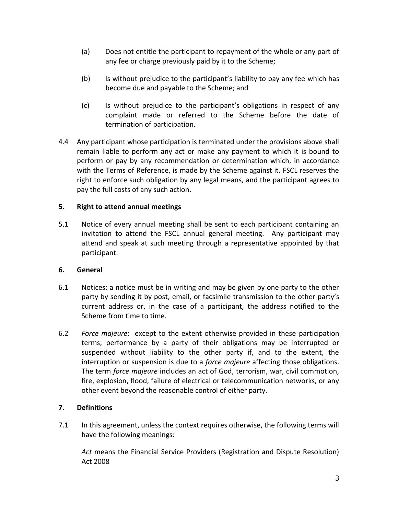- (a) Does not entitle the participant to repayment of the whole or any part of any fee or charge previously paid by it to the Scheme;
- (b) Is without prejudice to the participant's liability to pay any fee which has become due and payable to the Scheme; and
- (c) Is without prejudice to the participant's obligations in respect of any complaint made or referred to the Scheme before the date of termination of participation.
- 4.4 Any participant whose participation is terminated under the provisions above shall remain liable to perform any act or make any payment to which it is bound to perform or pay by any recommendation or determination which, in accordance with the Terms of Reference, is made by the Scheme against it. FSCL reserves the right to enforce such obligation by any legal means, and the participant agrees to pay the full costs of any such action.

# **5. Right to attend annual meetings**

5.1 Notice of every annual meeting shall be sent to each participant containing an invitation to attend the FSCL annual general meeting. Any participant may attend and speak at such meeting through a representative appointed by that participant.

# **6. General**

- 6.1 Notices: a notice must be in writing and may be given by one party to the other party by sending it by post, email, or facsimile transmission to the other party's current address or, in the case of a participant, the address notified to the Scheme from time to time.
- 6.2 *Force majeure*: except to the extent otherwise provided in these participation terms, performance by a party of their obligations may be interrupted or suspended without liability to the other party if, and to the extent, the interruption or suspension is due to a *force majeure* affecting those obligations. The term *force majeure* includes an act of God, terrorism, war, civil commotion, fire, explosion, flood, failure of electrical or telecommunication networks, or any other event beyond the reasonable control of either party.

# **7. Definitions**

7.1 In this agreement, unless the context requires otherwise, the following terms will have the following meanings:

*Act* means the Financial Service Providers (Registration and Dispute Resolution) Act 2008